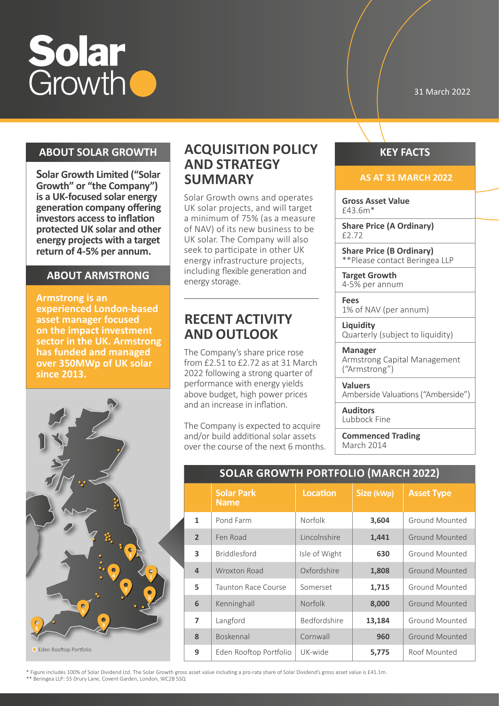

31 March 2022

## **ABOUT SOLAR GROWTH**

**Solar Growth Limited ("Solar Growth" or "the Company") is a UK-focused solar energy generation company offering investors access to inflation protected UK solar and other energy projects with a target return of 4-5% per annum.**

## **ABOUT ARMSTRONG**

**Armstrong is an experienced London-based asset manager focused on the impact investment sector in the UK. Armstrong has funded and managed over 350MWp of UK solar since 2013.**



## **ACQUISITION POLICY AND STRATEGY SUMMARY**

Solar Growth owns and operates UK solar projects, and will target a minimum of 75% (as a measure of NAV) of its new business to be UK solar. The Company will also seek to participate in other UK energy infrastructure projects, including flexible generation and energy storage.

## **RECENT ACTIVITY AND OUTLOOK**

The Company's share price rose from £2.51 to £2.72 as at 31 March 2022 following a strong quarter of performance with energy yields above budget, high power prices and an increase in inflation.

The Company is expected to acquire and/or build additional solar assets over the course of the next 6 months.

## **KEY FACTS**

#### **AS AT 31 MARCH 2022**

**Gross Asset Value** £43.6m\*

**Share Price (A Ordinary)** £2.72

**Share Price (B Ordinary)** \*\*Please contact Beringea LLP

**Target Growth** 4-5% per annum

**Fees** 1% of NAV (per annum)

**Liquidity** Quarterly (subject to liquidity)

**Manager** Armstrong Capital Management ("Armstrong")

**Valuers** Amberside Valuations ("Amberside")

**Auditors** Lubbock Fine

**Commenced Trading** March 2014

## **SOLAR GROWTH PORTFOLIO (MARCH 2022)**

|                | <b>Solar Park</b><br><b>Name</b> | <b>Location</b> | Size (kWp) | <b>Asset Type</b>     |
|----------------|----------------------------------|-----------------|------------|-----------------------|
| $\mathbf{1}$   | Pond Farm                        | Norfolk         | 3,604      | Ground Mounted        |
| $\overline{2}$ | Fen Road                         | Lincolnshire    | 1,441      | Ground Mounted        |
| 3              | <b>Briddlesford</b>              | Isle of Wight   | 630        | Ground Mounted        |
| $\overline{4}$ | <b>Wroxton Road</b>              | Oxfordshire     | 1,808      | Ground Mounted        |
| 5              | Taunton Race Course              | Somerset        | 1,715      | Ground Mounted        |
| 6              | Kenninghall                      | <b>Norfolk</b>  | 8,000      | Ground Mounted        |
| $\overline{ }$ | Langford                         | Bedfordshire    | 13,184     | Ground Mounted        |
| 8              | Boskennal                        | Cornwall        | 960        | <b>Ground Mounted</b> |
| 9              | Eden Rooftop Portfolio           | UK-wide         | 5,775      | Roof Mounted          |

\* Figure includes 100% of Solar Dividend Ltd. The Solar Growth gross asset value including a pro-rata share of Solar Dividend's gross asset value is £41.1m. \*\* Beringea LLP: 55 Drury Lane, Covent Garden, London, WC2B 5SQ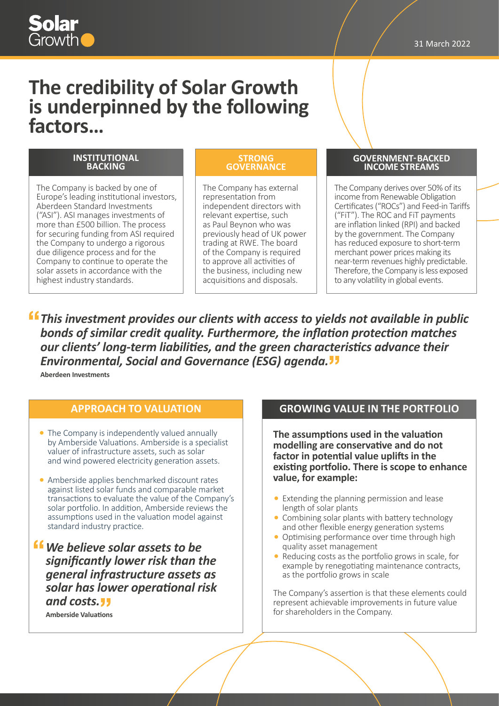# Solar

## **The credibility of Solar Growth is underpinned by the following factors…**

#### **INSTITUTIONAL BACKING**

The Company is backed by one of Europe's leading institutional investors, Aberdeen Standard Investments ("ASI"). ASI manages investments of more than £500 billion. The process for securing funding from ASI required the Company to undergo a rigorous due diligence process and for the Company to continue to operate the solar assets in accordance with the highest industry standards.

#### **STRONG GOVERNANCE**

The Company has external representation from independent directors with relevant expertise, such as Paul Beynon who was previously head of UK power trading at RWE. The board of the Company is required to approve all activities of the business, including new acquisitions and disposals.

#### **GOVERNMENT- BACKED INCOME STREAMS**

The Company derives over 50% of its income from Renewable Obligation Certificates ("ROCs") and Feed-in Tariffs ("FiT"). The ROC and FiT payments are inflation linked (RPI) and backed by the government. The Company has reduced exposure to short-term merchant power prices making its near-term revenues highly predictable. Therefore, the Company is less exposed to any volatility in global events.

*This investment provides our clients with access to yields not available in public bonds of similar credit quality. Furthermore, the inflation protection matches our clients' long-term liabilities, and the green characteristics advance their Environmental, Social and Governance (ESG) agenda.*

**Aberdeen Investments**

## **APPROACH TO VALUATION**

- The Company is independently valued annually by Amberside Valuations. Amberside is a specialist valuer of infrastructure assets, such as solar and wind powered electricity generation assets.
- Amberside applies benchmarked discount rates against listed solar funds and comparable market transactions to evaluate the value of the Company's solar portfolio. In addition, Amberside reviews the assumptions used in the valuation model against standard industry practice.
- *We believe solar assets to be significantly lower risk than the general infrastructure assets as solar has lower operational risk and costs.*

**Amberside Valuations**

## **GROWING VALUE IN THE PORTFOLIO**

**The assumptions used in the valuation modelling are conservative and do not factor in potential value uplifts in the existing portfolio. There is scope to enhance value, for example:**

- Extending the planning permission and lease length of solar plants
- Combining solar plants with battery technology and other flexible energy generation systems
- Optimising performance over time through high quality asset management
- Reducing costs as the portfolio grows in scale, for example by renegotiating maintenance contracts, as the portfolio grows in scale

The Company's assertion is that these elements could represent achievable improvements in future value for shareholders in the Company.